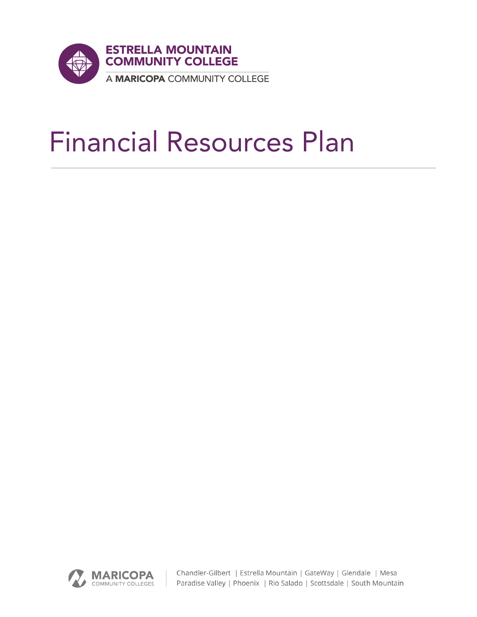

# Financial Resources Plan



Chandler-Gilbert | Estrella Mountain | GateWay | Glendale | Mesa Paradise Valley | Phoenix | Rio Salado | Scottsdale | South Mountain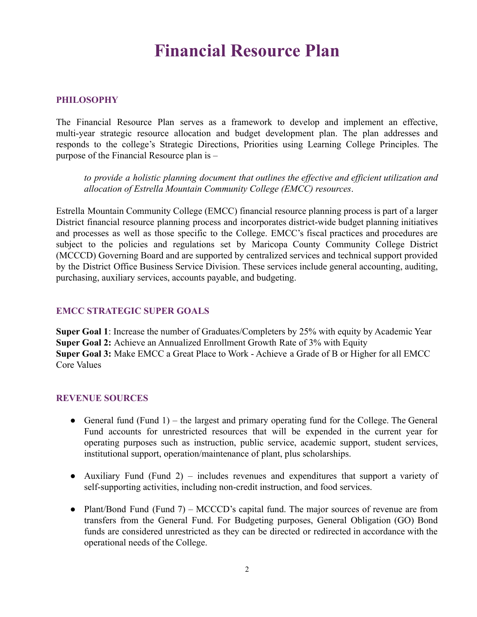# **Financial Resource Plan**

### **PHILOSOPHY**

The Financial Resource Plan serves as a framework to develop and implement an effective, multi-year strategic resource allocation and budget development plan. The plan addresses and responds to the college's Strategic Directions, Priorities using Learning College Principles. The purpose of the Financial Resource plan is –

*to provide a holistic planning document that outlines the effective and efficient utilization and allocation of Estrella Mountain Community College (EMCC) resources*.

Estrella Mountain Community College (EMCC) financial resource planning process is part of a larger District financial resource planning process and incorporates district-wide budget planning initiatives and processes as well as those specific to the College. EMCC's fiscal practices and procedures are subject to the policies and regulations set by Maricopa County Community College District (MCCCD) Governing Board and are supported by centralized services and technical support provided by the District Office Business Service Division. These services include general accounting, auditing, purchasing, auxiliary services, accounts payable, and budgeting.

### **EMCC STRATEGIC SUPER GOALS**

**Super Goal 1**: Increase the number of Graduates/Completers by 25% with equity by Academic Year **Super Goal 2:** Achieve an Annualized Enrollment Growth Rate of 3% with Equity **Super Goal 3:** Make EMCC a Great Place to Work - Achieve a Grade of B or Higher for all EMCC Core Values

#### **REVENUE SOURCES**

- General fund (Fund 1) the largest and primary operating fund for the College. The General Fund accounts for unrestricted resources that will be expended in the current year for operating purposes such as instruction, public service, academic support, student services, institutional support, operation/maintenance of plant, plus scholarships.
- Auxiliary Fund (Fund 2) includes revenues and expenditures that support a variety of self-supporting activities, including non-credit instruction, and food services.
- Plant/Bond Fund (Fund 7) MCCCD's capital fund. The major sources of revenue are from transfers from the General Fund. For Budgeting purposes, General Obligation (GO) Bond funds are considered unrestricted as they can be directed or redirected in accordance with the operational needs of the College.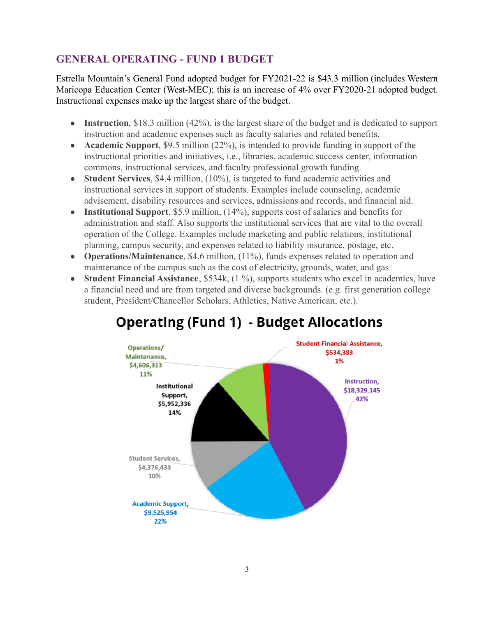# **GENERAL OPERATING - FUND 1 BUDGET**

Estrella Mountain's General Fund adopted budget for FY2021-22 is \$43.3 million (includes Western Maricopa Education Center (West-MEC); this is an increase of 4% over FY2020-21 adopted budget. Instructional expenses make up the largest share of the budget.

- **Instruction**, \$18.3 million (42%), is the largest share of the budget and is dedicated to support instruction and academic expenses such as faculty salaries and related benefits.
- **Academic Support**, \$9.5 million (22%), is intended to provide funding in support of the instructional priorities and initiatives, i.e., libraries, academic success center, information commons, instructional services, and faculty professional growth funding.
- **Student Services**, \$4.4 million, (10%), is targeted to fund academic activities and instructional services in support of students. Examples include counseling, academic advisement, disability resources and services, admissions and records, and financial aid.
- **Institutional Support**, \$5.9 million, (14%), supports cost of salaries and benefits for administration and staff. Also supports the institutional services that are vital to the overall operation of the College. Examples include marketing and public relations, institutional planning, campus security, and expenses related to liability insurance, postage, etc.
- **Operations/Maintenance**, \$4.6 million, (11%), funds expenses related to operation and maintenance of the campus such as the cost of electricity, grounds, water, and gas
- **Student Financial Assistance**, \$534k, (1 %), supports students who excel in academics, have a financial need and are from targeted and diverse backgrounds. (e.g. first generation college student, President/Chancellor Scholars, Athletics, Native American, etc.).



# **Operating (Fund 1) - Budget Allocations**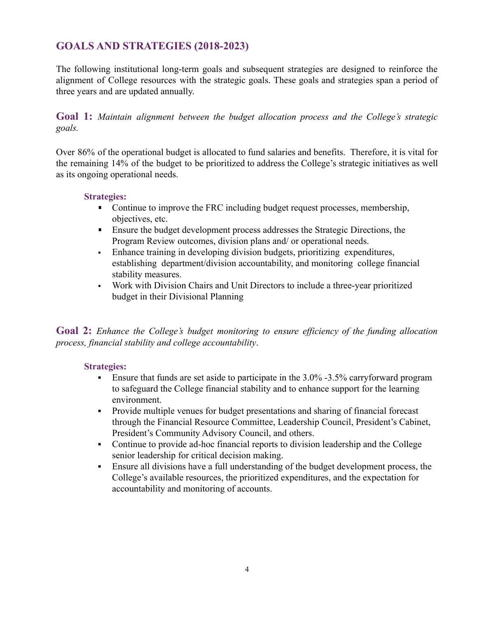# **GOALS AND STRATEGIES (2018-2023)**

The following institutional long-term goals and subsequent strategies are designed to reinforce the alignment of College resources with the strategic goals. These goals and strategies span a period of three years and are updated annually.

**Goal 1:** *Maintain alignment between the budget allocation process and the College's strategic goals.*

Over 86% of the operational budget is allocated to fund salaries and benefits. Therefore, it is vital for the remaining 14% of the budget to be prioritized to address the College's strategic initiatives as well as its ongoing operational needs.

## **Strategies:**

- Continue to improve the FRC including budget request processes, membership, objectives, etc.
- **Ensure the budget development process addresses the Strategic Directions, the** Program Review outcomes, division plans and/ or operational needs.
- Enhance training in developing division budgets, prioritizing expenditures, establishing department/division accountability, and monitoring college financial stability measures.
- Work with Division Chairs and Unit Directors to include a three-year prioritized budget in their Divisional Planning

**Goal 2:** *Enhance the College's budget monitoring to ensure efficiency of the funding allocation process, financial stability and college accountability*.

# **Strategies:**

- **Ensure that funds are set aside to participate in the 3.0% -3.5% carryforward program** to safeguard the College financial stability and to enhance support for the learning environment.
- Provide multiple venues for budget presentations and sharing of financial forecast through the Financial Resource Committee, Leadership Council, President's Cabinet, President's Community Advisory Council, and others.
- Continue to provide ad-hoc financial reports to division leadership and the College senior leadership for critical decision making.
- Ensure all divisions have a full understanding of the budget development process, the College's available resources, the prioritized expenditures, and the expectation for accountability and monitoring of accounts.